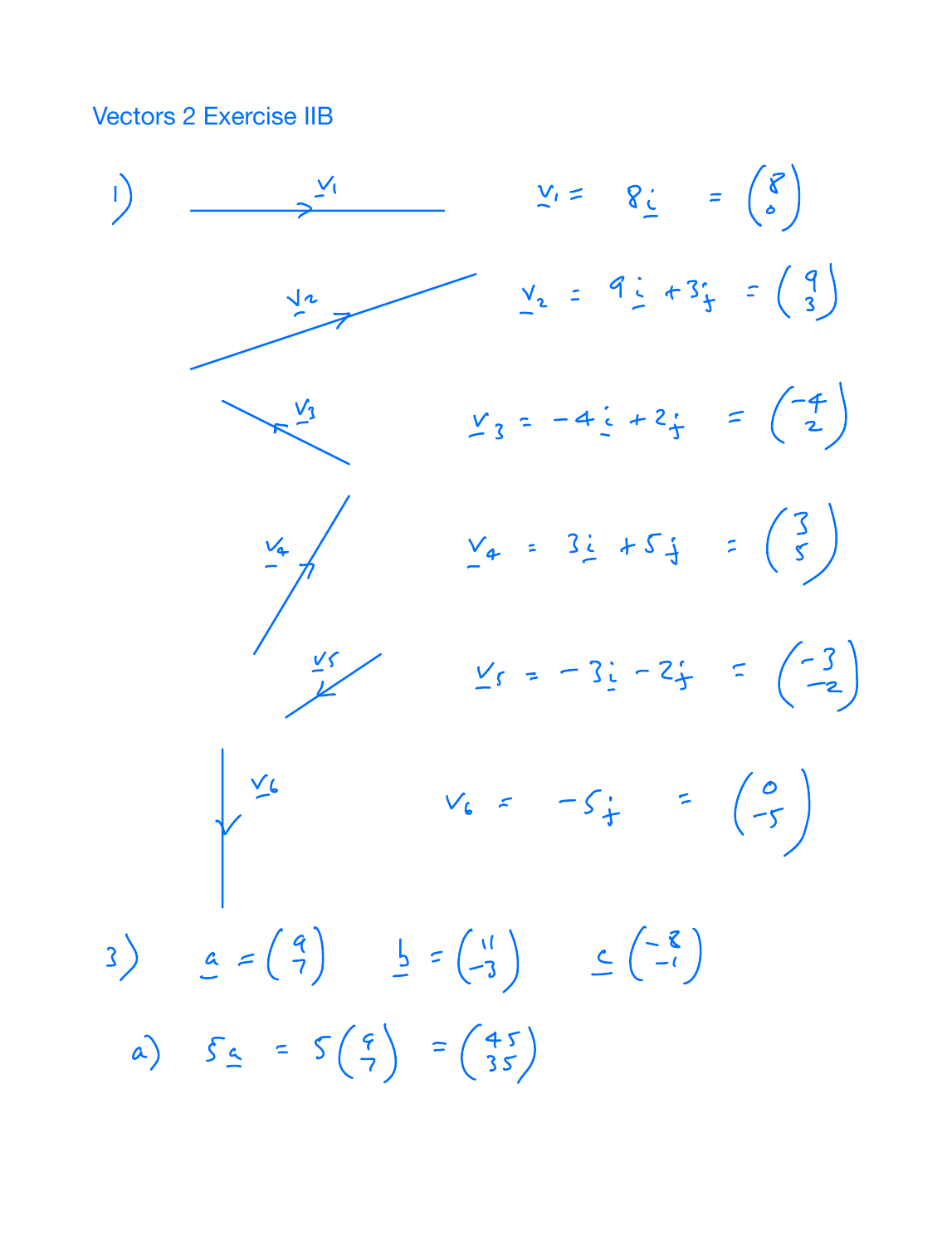**Vectors 2 Exercise IIB** 

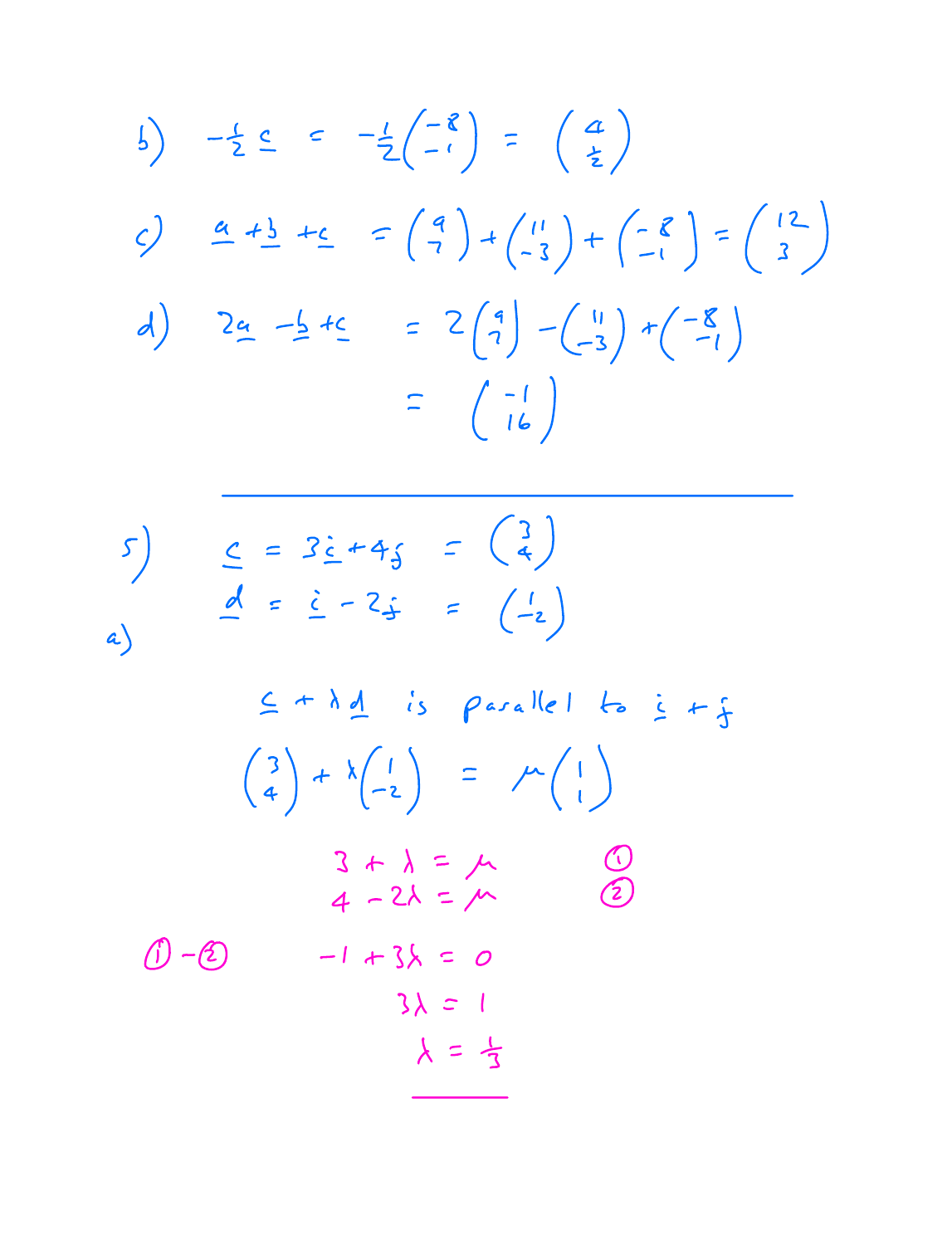$$
\begin{array}{lll}\n\text{(a)} & -\frac{1}{2} \leq 2 \\
\text{(b)} & -\frac{1}{2} \left( \frac{-8}{-1} \right) \\
\text{(c)} & \frac{a}{2} + \frac{1}{2} + \frac{c}{2} \\
\text{(d)} & -\frac{1}{2} + \frac{c}{2} \\
\text{(e)} & -\frac{1}{2} + \frac{c}{2} \\
\text{(f)} & \frac{1}{2} \left( \frac{1}{2} \right) \\
\text{(g)} & \frac{1}{2} \left( \frac{1}{2} \right) \\
\text{(h)} & \frac{1}{2} \left( \frac{1}{2} \right) \\
\text{(i)} & \frac{1}{2} \left( \frac{1}{2} \right) \\
\text{(ii)} & \frac{1}{2} \left( \frac{1}{2} \right) \\
\text{(iv)} & \frac{1}{2} \left( \frac{1}{2} \right) \\
\text{(v)} & \frac{1}{2} \left( \frac{1}{2} \right) \\
\text{(v)} & \frac{1}{2} \left( \frac{1}{2} \right) \\
\text{(v)} & \frac{1}{2} \left( \frac{1}{2} \right) \\
\text{(v)} & \frac{1}{2} \left( \frac{1}{2} \right) \\
\text{(v)} & \frac{1}{2} \left( \frac{1}{2} \right) \\
\text{(v)} & \frac{1}{2} \left( \frac{1}{2} \right) \\
\text{(v)} & \frac{1}{2} \left( \frac{1}{2} \right) \\
\text{(v)} & \frac{1}{2} \left( \frac{1}{2} \right) \\
\text{(v)} & \frac{1}{2} \left( \frac{1}{2} \right) \\
\text{(v)} & \frac{1}{2} \left( \frac{1}{2} \right) \\
\text{(v)} & \frac{1}{2} \left( \frac{1}{2} \right) \\
\text{(v)} & \frac{1}{2} \left( \frac{1}{2} \right) \\
\text{(v)} & \frac{1}{2} \left( \frac{1}{2} \right) \\
\text{(v)} & \frac{1}{2} \left( \frac{1}{2} \right) \\
\text{(v)} & \frac{1}{2} \left( \frac{1}{2} \right) \\
\text{(v)} &
$$

$$
5) \underline{c} = 3\underline{c} + 4\underline{f} = \begin{pmatrix} 3 \\ 4 \end{pmatrix}
$$
  
\n
$$
\underline{d} = \underline{c} - 2\underline{f} = \begin{pmatrix} 1 \\ -2 \end{pmatrix}
$$
  
\n
$$
\underline{c} + \lambda \underline{d} \text{ is parallel to } \underline{c} + \underline{f}
$$
  
\n
$$
\begin{pmatrix} 3 \\ 4 \end{pmatrix} + \lambda \begin{pmatrix} 1 \\ -2 \end{pmatrix} = \mu \begin{pmatrix} 1 \\ 1 \end{pmatrix}
$$
  
\n
$$
\begin{pmatrix} 3 + \lambda = \mu & 0 \\ 4 - 2\lambda = \mu & 2 \\ 4 - 2\lambda = \mu & 2 \end{pmatrix}
$$
  
\n
$$
\begin{pmatrix} 0 & -1 + 3\lambda = 0 & 3\lambda = 1 \\ 3\lambda = 1 & \lambda = \frac{1}{3} \end{pmatrix}
$$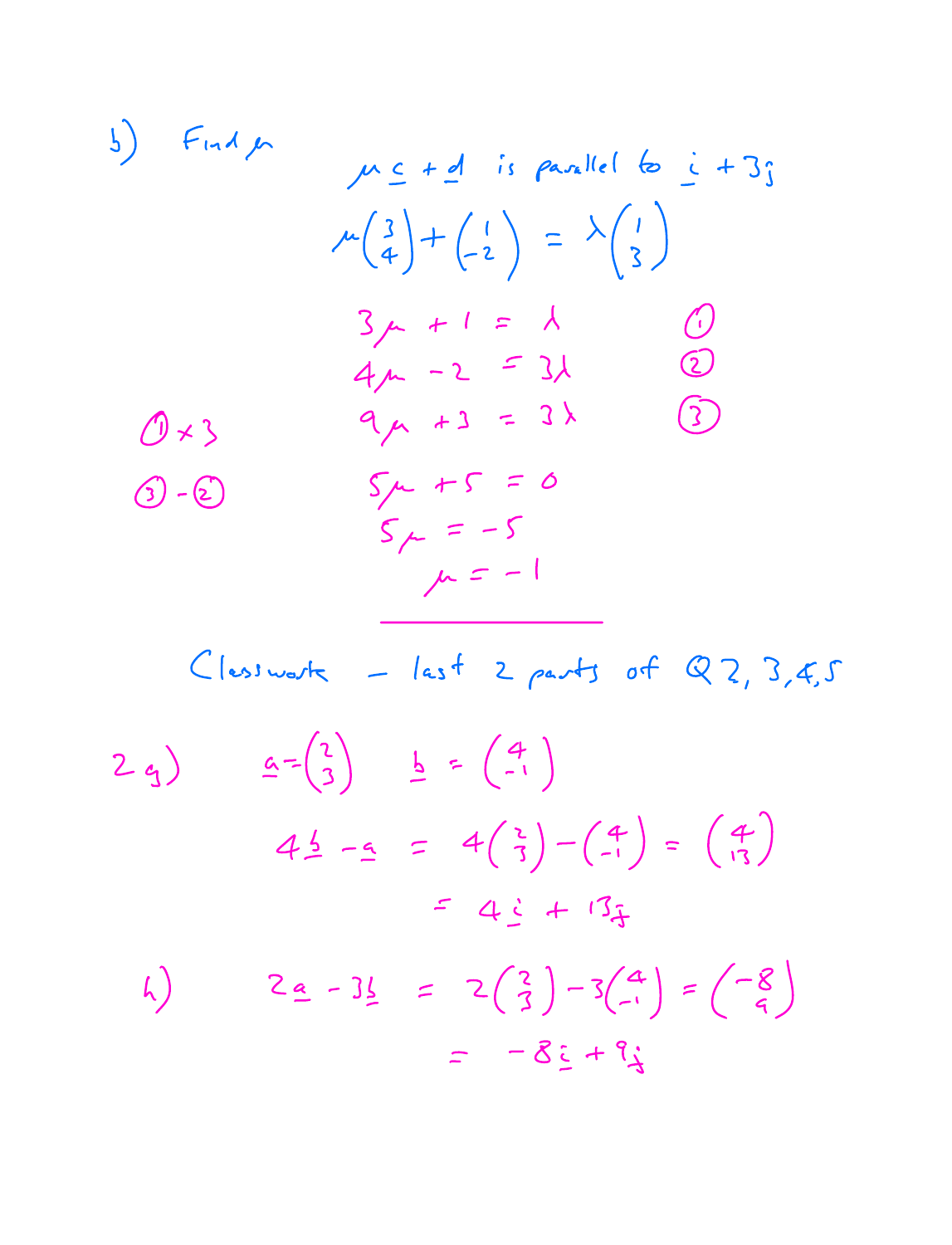5)  
\nFind 
$$
\mu \le t
$$
 of is parallel to  $\le +3$ ;  
\n $\mu \left(\frac{3}{4}\right) + \left(\frac{1}{2}\right) = \lambda \left(\frac{1}{3}\right)$   
\n $\frac{3}{4}\mu + 1 = \lambda$   
\n $4\mu - 2 = 3\lambda$   
\n $9 + 3 = 3\lambda$   
\n $9 - 2$   
\n $5\mu + 5 = 0$   
\n $5\mu = -5$   
\n $\mu = -1$ 

 $C$ lesswork - last 2 parts of Q2, 3,4,5  $\underline{a} = \begin{pmatrix} 2 \\ 3 \end{pmatrix}$   $\underline{b} = \begin{pmatrix} 4 \\ -1 \end{pmatrix}$  $2q$  $4\frac{1}{2}$  -9 =  $4\binom{2}{3} - \binom{4}{-1} = \binom{4}{13}$  $= 4i + 13i$  $2a - 31 = 2(\frac{2}{3}) - 3(\frac{4}{1}) = (-\frac{8}{9})$  $h)$  $= 8i + 9i$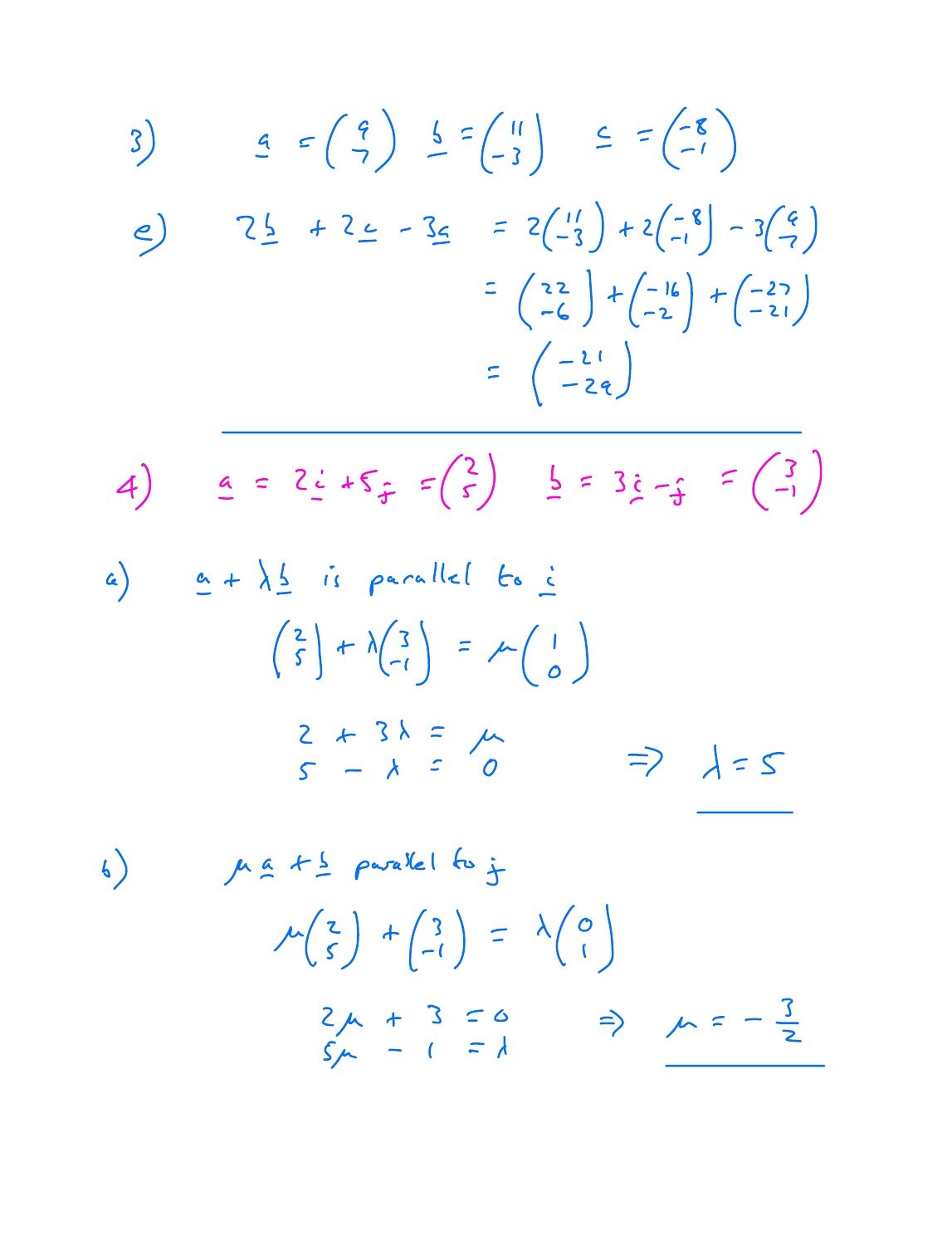3) 
$$
4 = \begin{pmatrix} 4 \\ 7 \end{pmatrix} \begin{pmatrix} 6 \\ -2 \end{pmatrix} \begin{pmatrix} 1 \\ -2 \end{pmatrix} \begin{pmatrix} 6 \\ -1 \end{pmatrix}
$$
  
\n4) 
$$
2 \begin{pmatrix} 3 \\ -2 \end{pmatrix} + 2 \begin{pmatrix} 2 \\ -1 \end{pmatrix} + 2 \begin{pmatrix} 1 \\ -1 \end{pmatrix} + 2 \begin{pmatrix} 1 \\ -2 \end{pmatrix} \begin{pmatrix} 2 \\ -2 \end{pmatrix}
$$
  
\n5) 
$$
= \begin{pmatrix} 22 \\ -24 \end{pmatrix} + \begin{pmatrix} -16 \\ -21 \end{pmatrix} + \begin{pmatrix} -27 \\ -21 \end{pmatrix}
$$
  
\n6) 
$$
2 + \lambda \begin{pmatrix} 2 \\ 1 \end{pmatrix} + \lambda \begin{pmatrix} 3 \\ -1 \end{pmatrix} = \lambda \begin{pmatrix} 1 \\ 0 \end{pmatrix}
$$
  
\n7) 
$$
2 + 3\lambda = \mu
$$
  
\n8) 
$$
\mu \Delta + \frac{1}{2} \rho \alpha \Delta k \begin{pmatrix} 2 \\ -1 \end{pmatrix} = \lambda \begin{pmatrix} 1 \\ 0 \end{pmatrix}
$$
  
\n9) 
$$
\mu \Delta + \frac{1}{2} \rho \alpha \Delta k \begin{pmatrix} 3 \\ 6 \end{pmatrix} = \lambda \begin{pmatrix} 1 \\ 0 \end{pmatrix}
$$
  
\n10) 
$$
\mu \Delta + \frac{1}{2} \rho \alpha \Delta k \begin{pmatrix} 6 \\ 6 \end{pmatrix} = \lambda \begin{pmatrix} 0 \\ 1 \end{pmatrix}
$$

$$
2\mu + 3 = 0 \Rightarrow \mu = -\frac{3}{2}
$$
\n
$$
5\mu - 1 = 1
$$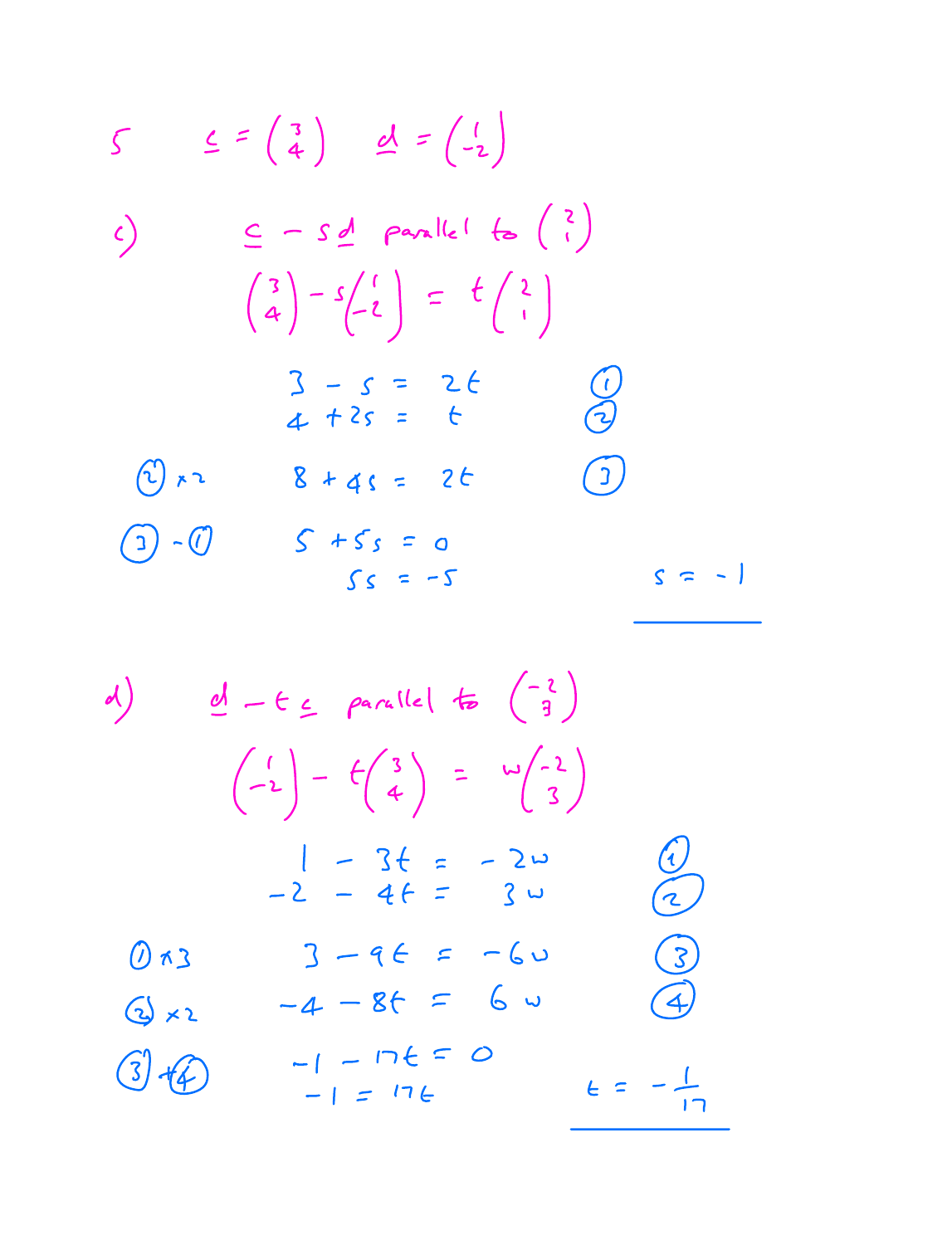$$
S \leq f(\frac{3}{4}) \leq f(\frac{1}{2})
$$
\n
$$
f(\frac{3}{4}) - f(\frac{1}{2}) = f(\frac{3}{4})
$$
\n
$$
f(\frac{3}{4}) - f(\frac{1}{2}) = f(\frac{3}{4})
$$
\n
$$
f(\frac{3}{4}) - f(\frac{1}{2}) = f(\frac{3}{4})
$$
\n
$$
f(\frac{3}{4}) - f(\frac{1}{2}) = f(\frac{3}{4})
$$
\n
$$
f(\frac{3}{4}) - f(\frac{1}{2}) = f(\frac{3}{4})
$$
\n
$$
f(\frac{3}{4}) - f(\frac{1}{2}) = f(\frac{3}{4})
$$
\n
$$
f(\frac{3}{4}) - f(\frac{1}{2}) = f(\frac{1}{2})
$$
\n
$$
f(\frac{3}{4}) - f(\frac{1}{2}) = f(\frac{1}{2})
$$
\n
$$
f(\frac{3}{4}) - f(\frac{1}{2}) = f(\frac{1}{2})
$$
\n
$$
f(\frac{3}{4}) - f(\frac{1}{2}) = f(\frac{1}{2})
$$
\n
$$
f(\frac{3}{4}) - f(\frac{1}{2}) = f(\frac{1}{2})
$$
\n
$$
f(\frac{3}{4}) - f(\frac{1}{2}) = f(\frac{1}{2})
$$
\n
$$
f(\frac{3}{4}) - f(\frac{1}{2}) = f(\frac{1}{2})
$$
\n
$$
f(\frac{3}{4}) - f(\frac{1}{2}) = f(\frac{1}{2})
$$
\n
$$
f(\frac{3}{4}) - f(\frac{1}{2}) = f(\frac{1}{2})
$$
\n
$$
f(\frac{3}{4}) - f(\frac{1}{2}) = f(\frac{1}{2})
$$
\n
$$
f(\frac{3}{4}) - f(\frac{1}{2}) = f(\frac{1}{2})
$$
\n
$$
f(\frac{3}{4}) - f(\frac{1}{2}) = f(\frac{1}{2})
$$
\n
$$
f(\frac{3}{4}) - f(\frac{1}{2}) = f(\frac{1}{2})
$$
\n
$$
f(\frac{3}{4}) - f(\frac{1}{2}) = f(\frac{1}{2})
$$
\n
$$
f(\frac{3}{
$$

d) 
$$
\underline{d} - \epsilon_{\leq}
$$
 parallel to  $\begin{pmatrix} -2 \\ 3 \end{pmatrix}$   
\n $\begin{pmatrix} 1 \\ -2 \end{pmatrix} - \frac{1}{2} \begin{pmatrix} 3 \\ 4 \end{pmatrix} = \frac{1}{2} \begin{pmatrix} -2 \\ 3 \end{pmatrix}$   
\n $\begin{pmatrix} 1 - 3t & -20 \\ -2 - 4t & -30 \end{pmatrix}$   
\n $\begin{pmatrix} 3 \times 2 & -4 - 8t & -60 \\ -1 - 15 = 0 & 4 \end{pmatrix}$   
\n $\begin{pmatrix} 3 \pm 2 & -1 - 12t & -12t \\ -1 - 17t & -17t & -17 \end{pmatrix}$